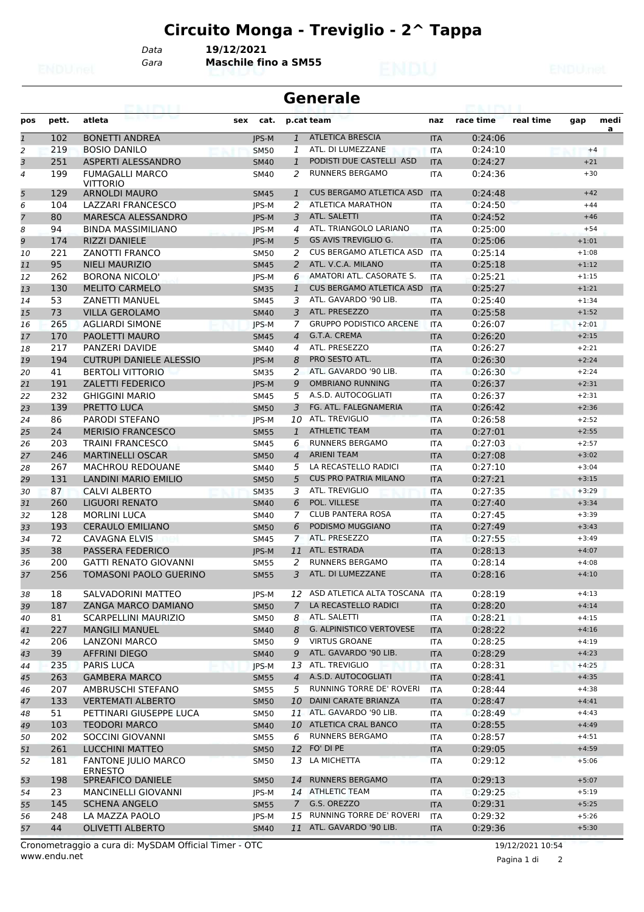*Gara* **Maschile fino a SM55** *Data* **19/12/2021**

#### **Generale**

| pos            | pett. | atleta                                       | cat.<br>sex  |                | p.cat team                       | naz        | race time | real time | gap     | medi |
|----------------|-------|----------------------------------------------|--------------|----------------|----------------------------------|------------|-----------|-----------|---------|------|
| $\overline{1}$ | 102   | <b>BONETTI ANDREA</b>                        | <b>IPS-M</b> | $\mathbf{1}$   | <b>ATLETICA BRESCIA</b>          | <b>ITA</b> | 0:24:06   |           |         | a    |
| 2              | 219   | <b>BOSIO DANILO</b>                          | <b>SM50</b>  | 1              | ATL. DI LUMEZZANE                | <b>ITA</b> | 0:24:10   |           | $+4$    |      |
| 3              | 251   | ASPERTI ALESSANDRO                           | <b>SM40</b>  | $\mathbf{1}$   | PODISTI DUE CASTELLI ASD         | <b>ITA</b> | 0:24:27   |           | $+21$   |      |
| $\overline{4}$ | 199   | <b>FUMAGALLI MARCO</b><br><b>VITTORIO</b>    | <b>SM40</b>  | 2              | <b>RUNNERS BERGAMO</b>           | <b>ITA</b> | 0:24:36   |           | $+30$   |      |
| 5              | 129   | <b>ARNOLDI MAURO</b>                         | <b>SM45</b>  | $\mathbf{1}$   | <b>CUS BERGAMO ATLETICA ASD</b>  | <b>ITA</b> | 0:24:48   |           | $+42$   |      |
| 6              | 104   | <b>LAZZARI FRANCESCO</b>                     | JPS-M        | 2              | <b>ATLETICA MARATHON</b>         | <b>ITA</b> | 0:24:50   |           | $+44$   |      |
| $\overline{z}$ | 80    | MARESCA ALESSANDRO                           | <b>IPS-M</b> | 3              | ATL. SALETTI                     | <b>ITA</b> | 0:24:52   |           | $+46$   |      |
| 8              | 94    | <b>BINDA MASSIMILIANO</b>                    | JPS-M        | $\overline{4}$ | ATL. TRIANGOLO LARIANO           | <b>ITA</b> | 0:25:00   |           | $+54$   |      |
| 9              | 174   | <b>RIZZI DANIELE</b>                         | JPS-M        | 5              | <b>GS AVIS TREVIGLIO G.</b>      | <b>ITA</b> | 0:25:06   |           | $+1:01$ |      |
| 10             | 221   | <b>ZANOTTI FRANCO</b>                        | <b>SM50</b>  | 2              | <b>CUS BERGAMO ATLETICA ASD</b>  | <b>ITA</b> | 0:25:14   |           | $+1:08$ |      |
| 11             | 95    | <b>NIELI MAURIZIO</b>                        | <b>SM45</b>  | 2              | ATL. V.C.A. MILANO               | <b>ITA</b> | 0:25:18   |           | $+1:12$ |      |
| 12             | 262   | <b>BORONA NICOLO'</b>                        | JPS-M        | 6              | AMATORI ATL. CASORATE S.         | <b>ITA</b> | 0:25:21   |           | $+1:15$ |      |
| 13             | 130   | <b>MELITO CARMELO</b>                        | <b>SM35</b>  | $\mathbf{1}$   | <b>CUS BERGAMO ATLETICA ASD</b>  | <b>ITA</b> | 0:25:27   |           | $+1:21$ |      |
| 14             | 53    | <b>ZANETTI MANUEL</b>                        | <b>SM45</b>  | 3              | ATL. GAVARDO '90 LIB.            | <b>ITA</b> | 0:25:40   |           | $+1:34$ |      |
|                | 73    | <b>VILLA GEROLAMO</b>                        |              | 3              | ATL. PRESEZZO                    |            | 0:25:58   |           | $+1:52$ |      |
| 15             |       |                                              | <b>SM40</b>  |                | <b>GRUPPO PODISTICO ARCENE</b>   | <b>ITA</b> |           |           | $+2:01$ |      |
| 16             | 265   | <b>AGLIARDI SIMONE</b>                       | JPS-M        | 7              |                                  | <b>ITA</b> | 0:26:07   |           |         |      |
| 17             | 170   | <b>PAOLETTI MAURO</b>                        | <b>SM45</b>  | $\overline{4}$ | G.T.A. CREMA                     | <b>ITA</b> | 0:26:20   |           | $+2:15$ |      |
| 18             | 217   | <b>PANZERI DAVIDE</b>                        | <b>SM40</b>  | $\overline{4}$ | ATL. PRESEZZO                    | <b>ITA</b> | 0:26:27   |           | $+2:21$ |      |
| 19             | 194   | <b>CUTRUPI DANIELE ALESSIO</b>               | <b>IPS-M</b> | 8              | PRO SESTO ATL.                   | <b>ITA</b> | 0:26:30   |           | $+2:24$ |      |
| 20             | 41    | <b>BERTOLI VITTORIO</b>                      | <b>SM35</b>  | 2              | ATL, GAVARDO '90 LIB.            | <b>ITA</b> | 0:26:30   |           | $+2:24$ |      |
| 21             | 191   | <b>ZALETTI FEDERICO</b>                      | <b>IPS-M</b> | 9              | <b>OMBRIANO RUNNING</b>          | <b>ITA</b> | 0:26:37   |           | $+2:31$ |      |
| 22             | 232   | <b>GHIGGINI MARIO</b>                        | <b>SM45</b>  | 5              | A.S.D. AUTOCOGLIATI              | <b>ITA</b> | 0:26:37   |           | $+2:31$ |      |
| 23             | 139   | PRETTO LUCA                                  | <b>SM50</b>  | 3              | FG. ATL. FALEGNAMERIA            | <b>ITA</b> | 0:26:42   |           | $+2:36$ |      |
| 24             | 86    | <b>PARODI STEFANO</b>                        | JPS-M        |                | 10 ATL. TREVIGLIO                | <b>ITA</b> | 0:26:58   |           | $+2:52$ |      |
| 25             | 24    | <b>MERISIO FRANCESCO</b>                     | <b>SM55</b>  | $\mathbf{1}$   | <b>ATHLETIC TEAM</b>             | <b>ITA</b> | 0:27:01   |           | $+2:55$ |      |
| 26             | 203   | <b>TRAINI FRANCESCO</b>                      | <b>SM45</b>  | 6              | <b>RUNNERS BERGAMO</b>           | <b>ITA</b> | 0:27:03   |           | $+2:57$ |      |
| 27             | 246   | <b>MARTINELLI OSCAR</b>                      | <b>SM50</b>  | $\overline{4}$ | <b>ARIENI TEAM</b>               | <b>ITA</b> | 0:27:08   |           | $+3:02$ |      |
| 28             | 267   | <b>MACHROU REDOUANE</b>                      | <b>SM40</b>  | 5              | LA RECASTELLO RADICI             | <b>ITA</b> | 0:27:10   |           | $+3:04$ |      |
| 29             | 131   | LANDINI MARIO EMILIO                         | <b>SM50</b>  | 5              | <b>CUS PRO PATRIA MILANO</b>     | <b>ITA</b> | 0:27:21   |           | $+3:15$ |      |
| 30             | 87    | <b>CALVI ALBERTO</b>                         | <b>SM35</b>  | 3              | ATL. TREVIGLIO                   | <b>ITA</b> | 0:27:35   |           | $+3:29$ |      |
| 31             | 260   | LIGUORI RENATO                               | <b>SM40</b>  | 6              | POL. VILLESE                     | <b>ITA</b> | 0:27:40   |           | $+3:34$ |      |
| 32             | 128   | <b>MORLINI LUCA</b>                          | <b>SM40</b>  | 7              | <b>CLUB PANTERA ROSA</b>         | <b>ITA</b> | 0:27:45   |           | $+3:39$ |      |
| 33             | 193   | <b>CERAULO EMILIANO</b>                      | <b>SM50</b>  | 6              | PODISMO MUGGIANO                 | <b>ITA</b> | 0:27:49   |           | $+3:43$ |      |
| 34             | 72    | <b>CAVAGNA ELVIS</b>                         | <b>SM45</b>  | $\overline{7}$ | ATL. PRESEZZO                    | <b>ITA</b> | 0:27:55   |           | $+3:49$ |      |
| 35             | 38    | <b>PASSERA FEDERICO</b>                      | <b>IPS-M</b> |                | 11 ATL. ESTRADA                  | <b>ITA</b> | 0:28:13   |           | $+4:07$ |      |
| 36             | 200   | <b>GATTI RENATO GIOVANNI</b>                 | <b>SM55</b>  | 2              | <b>RUNNERS BERGAMO</b>           | <b>ITA</b> | 0:28:14   |           | $+4:08$ |      |
| 37             | 256   | TOMASONI PAOLO GUERINO                       | <b>SM55</b>  | 3              | ATL. DI LUMEZZANE                | <b>ITA</b> | 0:28:16   |           | $+4:10$ |      |
| 38             | 18    | SALVADORINI MATTEO                           | JPS-M        |                | 12 ASD ATLETICA ALTA TOSCANA ITA |            | 0:28:19   |           | $+4:13$ |      |
| 39             | 187   | <b>ZANGA MARCO DAMIANO</b>                   | <b>SM50</b>  | 7              | LA RECASTELLO RADICI             | <b>ITA</b> | 0:28:20   |           | $+4:14$ |      |
| 40             | 81    | <b>SCARPELLINI MAURIZIO</b>                  | <b>SM50</b>  | 8              | ATL. SALETTI                     | ITA        | 0:28:21   |           | $+4:15$ |      |
| 41             | 227   | <b>MANGILI MANUEL</b>                        | <b>SM40</b>  | 8              | <b>G. ALPINISTICO VERTOVESE</b>  | <b>ITA</b> | 0:28:22   |           | $+4:16$ |      |
| 42             | 206   | LANZONI MARCO                                | <b>SM50</b>  | 9              | <b>VIRTUS GROANE</b>             | ITA        | 0:28:25   |           | $+4:19$ |      |
| 43             | 39    | <b>AFFRINI DIEGO</b>                         | <b>SM40</b>  | 9              | ATL. GAVARDO '90 LIB.            | <b>ITA</b> | 0:28:29   |           | $+4:23$ |      |
|                | 235   | PARIS LUCA                                   | JPS-M        |                | 13 ATL. TREVIGLIO                | <b>ITA</b> | 0:28:31   |           | $+4:25$ |      |
| 44             | 263   | <b>GAMBERA MARCO</b>                         |              | $\overline{4}$ | A.S.D. AUTOCOGLIATI              | <b>ITA</b> | 0:28:41   |           | $+4:35$ |      |
| 45             |       |                                              | <b>SM55</b>  |                | RUNNING TORRE DE' ROVERI         |            |           |           | $+4:38$ |      |
| 46             | 207   | AMBRUSCHI STEFANO                            | SM55         | 5              |                                  | ITA        | 0:28:44   |           |         |      |
| 47             | 133   | <b>VERTEMATI ALBERTO</b>                     | <b>SM50</b>  | 10             | DAINI CARATE BRIANZA             | <b>ITA</b> | 0:28:47   |           | $+4:41$ |      |
| 48             | 51    | PETTINARI GIUSEPPE LUCA                      | <b>SM50</b>  |                | 11 ATL. GAVARDO '90 LIB.         | ITA        | 0:28:49   |           | $+4:43$ |      |
| 49             | 103   | TEODORI MARCO                                | <b>SM40</b>  |                | 10 ATLETICA CRAL BANCO           | <b>ITA</b> | 0:28:55   |           | $+4:49$ |      |
| 50             | 202   | SOCCINI GIOVANNI                             | <b>SM55</b>  | 6              | RUNNERS BERGAMO                  | ITA        | 0:28:57   |           | $+4:51$ |      |
| 51             | 261   | <b>LUCCHINI MATTEO</b>                       | <b>SM50</b>  | 12             | FO' DI PE                        | <b>ITA</b> | 0:29:05   |           | $+4:59$ |      |
| 52             | 181   | <b>FANTONE JULIO MARCO</b><br><b>ERNESTO</b> | SM50         | 13             | LA MICHETTA                      | ITA        | 0:29:12   |           | $+5:06$ |      |
| 53             | 198   | SPREAFICO DANIELE                            | <b>SM50</b>  | 14             | RUNNERS BERGAMO                  | <b>ITA</b> | 0:29:13   |           | $+5:07$ |      |
| 54             | 23    | <b>MANCINELLI GIOVANNI</b>                   | JPS-M        |                | 14 ATHLETIC TEAM                 | <b>ITA</b> | 0:29:25   |           | $+5:19$ |      |
| 55             | 145   | <b>SCHENA ANGELO</b>                         | <b>SM55</b>  | 7 <sup>7</sup> | G.S. OREZZO                      | <b>ITA</b> | 0:29:31   |           | $+5:25$ |      |
| 56             | 248   | LA MAZZA PAOLO                               | JPS-M        | 15             | RUNNING TORRE DE' ROVERI         | <b>ITA</b> | 0:29:32   |           | $+5:26$ |      |
| 57             | 44    | <b>OLIVETTI ALBERTO</b>                      | <b>SM40</b>  |                | 11 ATL. GAVARDO '90 LIB.         | <b>ITA</b> | 0:29:36   |           | $+5:30$ |      |

www.endu.net Cronometraggio a cura di: MySDAM Official Timer - OTC 19/12/2021 10:54

Pagina 1 di 2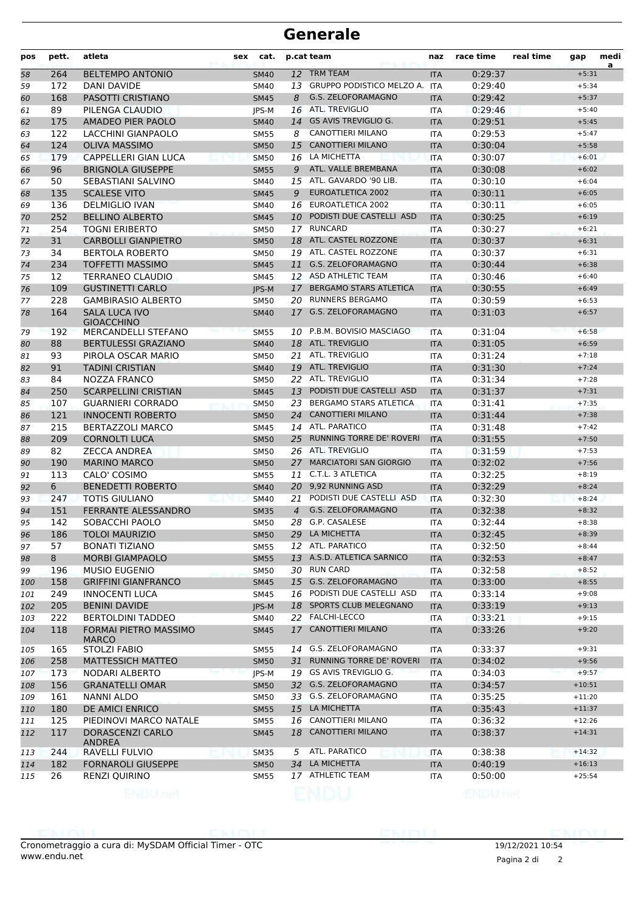#### **Generale**

| pos        | pett.      | atleta                                            | sex | cat.                       |                | p.cat team                              | naz               | race time          | real time | gap                  | medi<br>a |
|------------|------------|---------------------------------------------------|-----|----------------------------|----------------|-----------------------------------------|-------------------|--------------------|-----------|----------------------|-----------|
| 58         | 264        | <b>BELTEMPO ANTONIO</b>                           |     | <b>SM40</b>                | 12             | <b>TRM TEAM</b>                         | <b>ITA</b>        | 0:29:37            |           | $+5:31$              |           |
| 59         | 172        | <b>DANI DAVIDE</b>                                |     | <b>SM40</b>                |                | 13 GRUPPO PODISTICO MELZO A.            | <b>ITA</b>        | 0:29:40            |           | $+5:34$              |           |
| 60         | 168        | PASOTTI CRISTIANO                                 |     | <b>SM45</b>                | 8              | G.S. ZELOFORAMAGNO                      | <b>ITA</b>        | 0:29:42            |           | $+5:37$              |           |
| 61         | 89         | PILENGA CLAUDIO                                   |     | <b>IPS-M</b>               |                | 16 ATL. TREVIGLIO                       | ITA               | 0:29:46            |           | $+5:40$              |           |
| 62         | 175        | AMADEO PIER PAOLO                                 |     | <b>SM40</b>                | 14             | <b>GS AVIS TREVIGLIO G.</b>             | <b>ITA</b>        | 0:29:51            |           | $+5:45$              |           |
| 63         | 122        | LACCHINI GIANPAOLO                                |     | <b>SM55</b>                | 8              | <b>CANOTTIERI MILANO</b>                | <b>ITA</b>        | 0:29:53            |           | $+5:47$              |           |
| 64         | 124        | <b>OLIVA MASSIMO</b>                              |     | <b>SM50</b>                | 15             | <b>CANOTTIERI MILANO</b>                | <b>ITA</b>        | 0:30:04            |           | $+5:58$              |           |
| 65         | 179        | <b>CAPPELLERI GIAN LUCA</b>                       |     | <b>SM50</b>                |                | 16 LA MICHETTA                          | <b>ITA</b>        | 0:30:07            |           | $+6:01$              |           |
| 66         | 96         | <b>BRIGNOLA GIUSEPPE</b>                          |     | <b>SM55</b>                | 9              | ATL. VALLE BREMBANA                     | <b>ITA</b>        | 0:30:08            |           | $+6:02$              |           |
| 67         | 50         | SEBASTIANI SALVINO                                |     | <b>SM40</b>                | 15             | ATL. GAVARDO '90 LIB.                   | ITA               | 0:30:10            |           | $+6:04$              |           |
| 68         | 135        | <b>SCALESE VITO</b>                               |     | <b>SM45</b>                | 9              | <b>EUROATLETICA 2002</b>                | <b>ITA</b>        | 0:30:11            |           | $+6:05$              |           |
| 69         | 136        | <b>DELMIGLIO IVAN</b>                             |     | SM40                       |                | 16 EUROATLETICA 2002                    | <b>ITA</b>        | 0:30:11            |           | $+6:05$              |           |
| 70         | 252        | <b>BELLINO ALBERTO</b>                            |     | <b>SM45</b>                | 10             | PODISTI DUE CASTELLI ASD                | <b>ITA</b>        | 0:30:25            |           | $+6:19$              |           |
| 71         | 254        | <b>TOGNI ERIBERTO</b>                             |     | <b>SM50</b>                |                | 17 RUNCARD                              | <b>ITA</b>        | 0:30:27            |           | $+6:21$              |           |
| 72         | 31         | <b>CARBOLLI GIANPIETRO</b>                        |     | <b>SM50</b>                |                | 18 ATL. CASTEL ROZZONE                  | <b>ITA</b>        | 0:30:37            |           | $+6:31$              |           |
| 73         | 34         | <b>BERTOLA ROBERTO</b>                            |     | <b>SM50</b>                |                | 19 ATL. CASTEL ROZZONE                  | <b>ITA</b>        | 0:30:37            |           | $+6:31$              |           |
| 74         | 234        | <b>TOFFETTI MASSIMO</b>                           |     | <b>SM45</b>                | 11             | G.S. ZELOFORAMAGNO                      | <b>ITA</b>        | 0:30:44            |           | $+6:38$              |           |
| 75         | 12         | TERRANEO CLAUDIO                                  |     | <b>SM45</b>                |                | 12 ASD ATHLETIC TEAM                    | <b>ITA</b>        | 0:30:46            |           | $+6:40$              |           |
| 76         | 109        | <b>GUSTINETTI CARLO</b>                           |     | <b>IPS-M</b>               | 17             | <b>BERGAMO STARS ATLETICA</b>           | <b>ITA</b>        | 0:30:55            |           | $+6:49$              |           |
| 77         | 228        | <b>GAMBIRASIO ALBERTO</b>                         |     | <b>SM50</b>                |                | 20 RUNNERS BERGAMO                      | <b>ITA</b>        | 0:30:59            |           | $+6:53$              |           |
| 78         | 164        | <b>SALA LUCA IVO</b><br><b>GIOACCHINO</b>         |     | <b>SM40</b>                |                | 17 G.S. ZELOFORAMAGNO                   | <b>ITA</b>        | 0:31:03            |           | $+6:57$              |           |
| 79         | 192        | <b>MERCANDELLI STEFANO</b>                        |     | <b>SM55</b>                |                | 10 P.B.M. BOVISIO MASCIAGO              | <b>ITA</b>        | 0:31:04            |           | $+6:58$              |           |
| 80         | 88         | <b>BERTULESSI GRAZIANO</b>                        |     | <b>SM40</b>                | 18             | ATL. TREVIGLIO                          | <b>ITA</b>        | 0:31:05            |           | $+6:59$              |           |
| 81         | 93         | PIROLA OSCAR MARIO                                |     | <b>SM50</b>                | 21             | ATL. TREVIGLIO                          | <b>ITA</b>        | 0:31:24            |           | $+7:18$              |           |
| 82         | 91         | <b>TADINI CRISTIAN</b>                            |     | <b>SM40</b>                |                | 19 ATL. TREVIGLIO                       | <b>ITA</b>        | 0:31:30            |           | $+7:24$              |           |
| 83         | 84         | NOZZA FRANCO                                      |     | <b>SM50</b>                |                | 22 ATL. TREVIGLIO                       | ITA               | 0:31:34            |           | $+7:28$              |           |
| 84         | 250        | <b>SCARPELLINI CRISTIAN</b>                       |     | <b>SM45</b>                |                | 13 PODISTI DUE CASTELLI ASD             | <b>ITA</b>        | 0:31:37            |           | $+7:31$              |           |
| 85         | 107        | <b>GUARNIERI CORRADO</b>                          |     | <b>SM50</b>                |                | 23 BERGAMO STARS ATLETICA               | <b>ITA</b>        | 0:31:41            |           | $+7:35$              |           |
| 86         | 121        | <b>INNOCENTI ROBERTO</b>                          |     | <b>SM50</b>                | 24             | <b>CANOTTIERI MILANO</b>                | <b>ITA</b>        | 0:31:44            |           | $+7:38$              |           |
| 87         | 215        | <b>BERTAZZOLI MARCO</b>                           |     | <b>SM45</b>                |                | 14 ATL. PARATICO                        | <b>ITA</b>        | 0:31:48            |           | $+7:42$              |           |
| 88         | 209        | <b>CORNOLTI LUCA</b>                              |     | <b>SM50</b>                | 25             | <b>RUNNING TORRE DE' ROVERI</b>         | <b>ITA</b>        | 0:31:55            |           | $+7:50$              |           |
| 89         | 82         | <b>ZECCA ANDREA</b>                               |     | <b>SM50</b>                |                | 26 ATL. TREVIGLIO                       | ITA               | 0:31:59            |           | $+7:53$              |           |
| 90         | 190        | <b>MARINO MARCO</b>                               |     | <b>SM50</b>                |                | 27 MARCIATORI SAN GIORGIO               | <b>ITA</b>        | 0:32:02            |           | $+7:56$              |           |
| 91         | 113        | CALO' COSIMO                                      |     | <b>SM55</b>                |                | 11 C.T.L. 3 ATLETICA                    | <b>ITA</b>        | 0:32:25            |           | $+8:19$              |           |
| 92         | 6          | <b>BENEDETTI ROBERTO</b>                          |     | <b>SM40</b>                |                | 20 9,92 RUNNING ASD                     | <b>ITA</b>        | 0:32:29            |           | $+8:24$              |           |
| 93         | 247        | <b>TOTIS GIULIANO</b>                             |     | <b>SM40</b>                | 21             | PODISTI DUE CASTELLI ASD                | <b>ITA</b>        | 0:32:30            |           | $+8:24$              |           |
| 94         | 151        | FERRANTE ALESSANDRO                               |     | <b>SM35</b>                | $\overline{a}$ | G.S. ZELOFORAMAGNO                      | <b>ITA</b>        | 0:32:38            |           | $+8:32$              |           |
| 95         | 142        | SOBACCHI PAOLO                                    |     | SM50                       |                | 28 G.P. CASALESE                        | <b>ITA</b>        | 0:32:44            |           | $+8:38$              |           |
| 96         | 186        | <b>TOLOI MAURIZIO</b>                             |     | <b>SM50</b>                |                | 29 LA MICHETTA                          | <b>ITA</b>        | 0:32:45            |           | $+8:39$              |           |
| 97         | 57         | <b>BONATI TIZIANO</b>                             |     | <b>SM55</b>                |                | 12 ATL. PARATICO                        | <b>ITA</b>        | 0:32:50            |           | $+8:44$              |           |
| 98         | 8          | <b>MORBI GIAMPAOLO</b>                            |     | <b>SM55</b>                |                | 13 A.S.D. ATLETICA SARNICO              | <b>ITA</b>        | 0:32:53            |           | $+8:47$              |           |
| 99         | 196        | <b>MUSIO EUGENIO</b>                              |     | <b>SM50</b>                |                | 30 RUN CARD                             | ITA               | 0:32:58            |           | $+8:52$              |           |
| 100        | 158        | <b>GRIFFINI GIANFRANCO</b>                        |     | <b>SM45</b>                |                | 15 G.S. ZELOFORAMAGNO                   | <b>ITA</b>        | 0:33:00            |           | $+8:55$              |           |
| 101        | 249        | <b>INNOCENTI LUCA</b>                             |     | SM45                       |                | 16 PODISTI DUE CASTELLI ASD             | <b>ITA</b>        | 0:33:14            |           | $+9:08$              |           |
| 102        | 205        | <b>BENINI DAVIDE</b>                              |     | JPS-M                      |                | 18 SPORTS CLUB MELEGNANO                | <b>ITA</b>        | 0:33:19            |           | $+9:13$              |           |
| 103<br>104 | 222<br>118 | <b>BERTOLDINI TADDEO</b><br>FORMAI PIETRO MASSIMO |     | SM40<br><b>SM45</b>        |                | 22 FALCHI-LECCO<br>17 CANOTTIERI MILANO | ITA<br><b>ITA</b> | 0:33:21<br>0:33:26 |           | $+9:15$<br>$+9:20$   |           |
| 105        | 165        | <b>MARCO</b><br><b>STOLZI FABIO</b>               |     | <b>SM55</b>                | 14             | G.S. ZELOFORAMAGNO                      | ITA               | 0:33:37            |           | $+9:31$              |           |
|            |            |                                                   |     |                            |                | RUNNING TORRE DE' ROVERI                |                   |                    |           |                      |           |
| 106        | 258<br>173 | <b>MATTESSICH MATTEO</b><br>NODARI ALBERTO        |     | <b>SM50</b>                | 31             | 19 GS AVIS TREVIGLIO G.                 | <b>ITA</b>        | 0:34:02<br>0:34:03 |           | $+9:56$<br>$+9:57$   |           |
| 107        |            |                                                   |     | JPS-M                      |                | 32 G.S. ZELOFORAMAGNO                   | <b>ITA</b>        |                    |           |                      |           |
| 108        | 156<br>161 | <b>GRANATELLI OMAR</b><br>NANNI ALDO              |     | <b>SM50</b>                |                | 33 G.S. ZELOFORAMAGNO                   | <b>ITA</b>        | 0:34:57<br>0:35:25 |           | $+10:51$<br>$+11:20$ |           |
| 109        | 180        | DE AMICI ENRICO                                   |     | <b>SM50</b><br><b>SM55</b> |                | 15 LA MICHETTA                          | <b>ITA</b>        | 0:35:43            |           | $+11:37$             |           |
| 110        | 125        | PIEDINOVI MARCO NATALE                            |     | <b>SM55</b>                |                | 16 CANOTTIERI MILANO                    | <b>ITA</b><br>ITA | 0:36:32            |           | $+12:26$             |           |
| 111<br>112 | 117        | DORASCENZI CARLO                                  |     |                            |                | 18 CANOTTIERI MILANO                    |                   | 0:38:37            |           | $+14:31$             |           |
|            |            | <b>ANDREA</b>                                     |     | <b>SM45</b>                |                |                                         | <b>ITA</b>        |                    |           |                      |           |
| 113        | 244        | RAVELLI FULVIO                                    |     | <b>SM35</b>                | 5              | ATL. PARATICO                           | ITA               | 0:38:38            |           | $+14:32$             |           |
| 114        | 182        | <b>FORNAROLI GIUSEPPE</b>                         |     | <b>SM50</b>                |                | 34 LA MICHETTA                          | <b>ITA</b>        | 0:40:19            |           | $+16:13$             |           |
| 115        | 26         | RENZI QUIRINO                                     |     | <b>SM55</b>                |                | 17 ATHLETIC TEAM                        | ITA               | 0:50:00            |           | $+25:54$             |           |
|            |            |                                                   |     |                            |                |                                         |                   |                    |           |                      |           |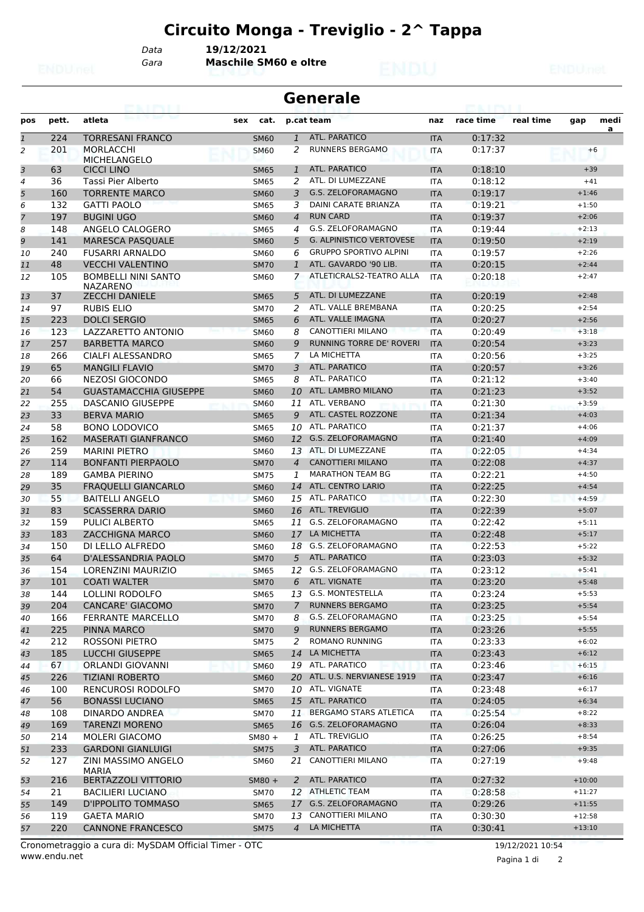*Gara* **Maschile SM60 e oltre** *Data* **19/12/2021**

| <b>Generale</b><br>53. IN L |       |                                               |     |             |                |                                 |            |           |           |          |      |
|-----------------------------|-------|-----------------------------------------------|-----|-------------|----------------|---------------------------------|------------|-----------|-----------|----------|------|
| pos                         | pett. | atleta                                        | sex | cat.        |                | p.cat team                      | naz        | race time | real time | gap      | medi |
| $\mathbf{1}$                | 224   | <b>TORRESANI FRANCO</b>                       |     | <b>SM60</b> | $\mathbf{1}$   | <b>ATL. PARATICO</b>            | <b>ITA</b> | 0:17:32   |           |          | a    |
| 2                           | 201   | <b>MORLACCHI</b><br><b>MICHELANGELO</b>       |     | <b>SM60</b> | 2              | <b>RUNNERS BERGAMO</b>          | <b>ITA</b> | 0:17:37   |           | $+6$     |      |
| 3                           | 63    | <b>CICCI LINO</b>                             |     | <b>SM65</b> | 1              | <b>ATL. PARATICO</b>            | <b>ITA</b> | 0:18:10   |           | $+39$    |      |
| 4                           | 36    | Tassi Pier Alberto                            |     | SM65        | 2              | ATL. DI LUMEZZANE               | <b>ITA</b> | 0:18:12   |           | $+41$    |      |
| 5                           | 160   | <b>TORRENTE MARCO</b>                         |     | <b>SM60</b> | 3              | G.S. ZELOFORAMAGNO              | <b>ITA</b> | 0:19:17   |           | $+1:46$  |      |
| 6                           | 132   | <b>GATTI PAOLO</b>                            |     | <b>SM65</b> | 3              | DAINI CARATE BRIANZA            | <b>ITA</b> | 0:19:21   |           | $+1:50$  |      |
| $\overline{7}$              | 197   | <b>BUGINI UGO</b>                             |     | <b>SM60</b> | $\overline{4}$ | <b>RUN CARD</b>                 | <b>ITA</b> | 0:19:37   |           | $+2:06$  |      |
| 8                           | 148   | ANGELO CALOGERO                               |     | <b>SM65</b> | 4              | G.S. ZELOFORAMAGNO              | ITA        | 0:19:44   |           | $+2:13$  |      |
| 9                           | 141   | <b>MARESCA PASQUALE</b>                       |     | <b>SM60</b> | 5              | <b>G. ALPINISTICO VERTOVESE</b> | <b>ITA</b> | 0:19:50   |           | $+2:19$  |      |
| 10                          | 240   | <b>FUSARRI ARNALDO</b>                        |     | SM60        | 6              | <b>GRUPPO SPORTIVO ALPINI</b>   | <b>ITA</b> | 0:19:57   |           | $+2:26$  |      |
| 11                          | 48    | <b>VECCHI VALENTINO</b>                       |     | <b>SM70</b> | 1              | ATL. GAVARDO '90 LIB.           | <b>ITA</b> | 0:20:15   |           | $+2:44$  |      |
| 12                          | 105   | <b>BOMBELLI NINI SANTO</b><br><b>NAZARENO</b> |     | <b>SM60</b> | 7              | ATLETICRALS2-TEATRO ALLA        | <b>ITA</b> | 0:20:18   |           | $+2:47$  |      |
| 13                          | 37    | <b>ZECCHI DANIELE</b>                         |     | <b>SM65</b> | 5              | ATL. DI LUMEZZANE               | <b>ITA</b> | 0:20:19   |           | $+2:48$  |      |
| 14                          | 97    | <b>RUBIS ELIO</b>                             |     | <b>SM70</b> | 2              | ATL. VALLE BREMBANA             | ITA        | 0:20:25   |           | $+2:54$  |      |
| 15                          | 223   | <b>DOLCI SERGIO</b>                           |     | <b>SM65</b> | 6              | ATL. VALLE IMAGNA               | <b>ITA</b> | 0:20:27   |           | $+2:56$  |      |
| 16                          | 123   | LAZZARETTO ANTONIO                            |     | <b>SM60</b> | 8              | <b>CANOTTIERI MILANO</b>        | <b>ITA</b> | 0:20:49   |           | $+3:18$  |      |
| 17                          | 257   | <b>BARBETTA MARCO</b>                         |     | <b>SM60</b> | 9              | RUNNING TORRE DE' ROVERI        | <b>ITA</b> | 0:20:54   |           | $+3:23$  |      |
| 18                          | 266   | CIALFI ALESSANDRO                             |     | <b>SM65</b> | 7              | LA MICHETTA                     | <b>ITA</b> | 0:20:56   |           | $+3:25$  |      |
| 19                          | 65    | <b>MANGILI FLAVIO</b>                         |     | <b>SM70</b> | 3              | <b>ATL. PARATICO</b>            | <b>ITA</b> | 0:20:57   |           | $+3:26$  |      |
| 20                          | 66    | NEZOSI GIOCONDO                               |     | SM65        | 8              | ATL. PARATICO                   | ITA        | 0:21:12   |           | $+3:40$  |      |
| 21                          | 54    | <b>GUASTAMACCHIA GIUSEPPE</b>                 |     | <b>SM60</b> | 10             | ATL. LAMBRO MILANO              | <b>ITA</b> | 0:21:23   |           | $+3:52$  |      |
| 22                          | 255   | <b>DASCANIO GIUSEPPE</b>                      |     | <b>SM60</b> | 11             | ATL. VERBANO                    | <b>ITA</b> | 0:21:30   |           | $+3:59$  |      |
| 23                          | 33    | <b>BERVA MARIO</b>                            |     | <b>SM65</b> | 9              | ATL. CASTEL ROZZONE             | <b>ITA</b> | 0:21:34   |           | $+4:03$  |      |
| 24                          | 58    | <b>BONO LODOVICO</b>                          |     | <b>SM65</b> | 10             | <b>ATL, PARATICO</b>            | <b>ITA</b> | 0:21:37   |           | $+4:06$  |      |
| 25                          | 162   | <b>MASERATI GIANFRANCO</b>                    |     | <b>SM60</b> | 12             | G.S. ZELOFORAMAGNO              | <b>ITA</b> | 0:21:40   |           | $+4:09$  |      |
| 26                          | 259   | <b>MARINI PIETRO</b>                          |     | SM60        | 13             | ATL. DI LUMEZZANE               | ITA        | 0:22:05   |           | $+4:34$  |      |
| 27                          | 114   | <b>BONFANTI PIERPAOLO</b>                     |     | <b>SM70</b> | $\overline{4}$ | <b>CANOTTIERI MILANO</b>        | <b>ITA</b> | 0:22:08   |           | $+4:37$  |      |
| 28                          | 189   | <b>GAMBA PIERINO</b>                          |     | <b>SM75</b> | 1              | <b>MARATHON TEAM BG</b>         | <b>ITA</b> | 0:22:21   |           | $+4:50$  |      |
| 29                          | 35    | <b>FRAQUELLI GIANCARLO</b>                    |     | <b>SM60</b> | 14             | <b>ATL. CENTRO LARIO</b>        | <b>ITA</b> | 0:22:25   |           | $+4:54$  |      |
| 30                          | 55    | <b>BAITELLI ANGELO</b>                        |     | <b>SM60</b> | 15             | ATL. PARATICO                   | <b>ITA</b> | 0:22:30   |           | $+4:59$  |      |
| 31                          | 83    | <b>SCASSERRA DARIO</b>                        |     | <b>SM60</b> | 16             | ATL. TREVIGLIO                  | <b>ITA</b> | 0:22:39   |           | $+5:07$  |      |
| 32                          | 159   | PULICI ALBERTO                                |     | SM65        | 11             | G.S. ZELOFORAMAGNO              | ITA        | 0:22:42   |           | $+5:11$  |      |
| 33                          | 183   | <b>ZACCHIGNA MARCO</b>                        |     | <b>SM60</b> | 17             | LA MICHETTA                     | <b>ITA</b> | 0:22:48   |           | $+5:17$  |      |
| 34                          | 150   | DI LELLO ALFREDO                              |     | <b>SM60</b> | 18             | <b>G.S. ZELOFORAMAGNO</b>       | <b>ITA</b> | 0:22:53   |           | $+5:22$  |      |
| 35                          | 64    | D'ALESSANDRIA PAOLO                           |     | <b>SM70</b> | 5              | <b>ATL. PARATICO</b>            | <b>ITA</b> | 0:23:03   |           | $+5:32$  |      |
| 36                          | 154   | LORENZINI MAURIZIO                            |     | <b>SM65</b> |                | 12 G.S. ZELOFORAMAGNO           | <b>ITA</b> | 0:23:12   |           | $+5:41$  |      |
| 37                          | 101   | <b>COATI WALTER</b>                           |     | <b>SM70</b> | 6              | ATL. VIGNATE                    | <b>ITA</b> | 0:23:20   |           | $+5:48$  |      |
| 38                          | 144   | <b>LOLLINI RODOLFO</b>                        |     | SM65        |                | 13 G.S. MONTESTELLA             | ITA        | 0:23:24   |           | $+5:53$  |      |
| 39                          | 204   | <b>CANCARE' GIACOMO</b>                       |     | <b>SM70</b> | $\overline{7}$ | <b>RUNNERS BERGAMO</b>          | <b>ITA</b> | 0:23:25   |           | $+5:54$  |      |
| 40                          | 166   | <b>FERRANTE MARCELLO</b>                      |     | <b>SM70</b> | 8              | G.S. ZELOFORAMAGNO              | ITA        | 0:23:25   |           | $+5:54$  |      |
| 41                          | 225   | <b>PINNA MARCO</b>                            |     | <b>SM70</b> | 9              | <b>RUNNERS BERGAMO</b>          | <b>ITA</b> | 0:23:26   |           | $+5:55$  |      |
| 42                          | 212   | ROSSONI PIETRO                                |     | <b>SM75</b> | 2              | <b>ROMANO RUNNING</b>           | <b>ITA</b> | 0:23:33   |           | $+6:02$  |      |
| 43                          | 185   | <b>LUCCHI GIUSEPPE</b>                        |     | <b>SM65</b> | 14             | LA MICHETTA                     | <b>ITA</b> | 0:23:43   |           | $+6:12$  |      |
| 44                          | 67    | ORLANDI GIOVANNI                              |     | SM60        |                | 19 ATL. PARATICO                | ITA        | 0:23:46   |           | $+6:15$  |      |
| 45                          | 226   | <b>TIZIANI ROBERTO</b>                        |     | <b>SM60</b> |                | 20 ATL. U.S. NERVIANESE 1919    | <b>ITA</b> | 0:23:47   |           | $+6:16$  |      |
| 46                          | 100   | <b>RENCUROSI RODOLFO</b>                      |     | <b>SM70</b> |                | 10 ATL. VIGNATE                 | ITA        | 0:23:48   |           | $+6:17$  |      |
| 47                          | 56    | <b>BONASSI LUCIANO</b>                        |     | <b>SM65</b> |                | 15 ATL. PARATICO                | <b>ITA</b> | 0:24:05   |           | $+6:34$  |      |
| 48                          | 108   | DINARDO ANDREA                                |     | <b>SM70</b> |                | 11 BERGAMO STARS ATLETICA       | <b>ITA</b> | 0:25:54   |           | $+8:22$  |      |
| 49                          | 169   | <b>TARENZI MORENO</b>                         |     | <b>SM65</b> |                | 16 G.S. ZELOFORAMAGNO           | <b>ITA</b> | 0:26:04   |           | $+8:33$  |      |
| 50                          | 214   | <b>MOLERI GIACOMO</b>                         |     | $5M80 +$    | 1              | ATL. TREVIGLIO                  | ITA        | 0:26:25   |           | $+8:54$  |      |
| 51                          | 233   | <b>GARDONI GIANLUIGI</b>                      |     | <b>SM75</b> |                | 3 ATL. PARATICO                 | <b>ITA</b> | 0:27:06   |           | $+9:35$  |      |
| 52                          | 127   | ZINI MASSIMO ANGELO<br><b>MARIA</b>           |     | <b>SM60</b> | 21             | CANOTTIERI MILANO               | ITA        | 0:27:19   |           | $+9:48$  |      |
| 53                          | 216   | <b>BERTAZZOLI VITTORIO</b>                    |     | $5M80 +$    | 2              | ATL. PARATICO                   | <b>ITA</b> | 0:27:32   |           | $+10:00$ |      |
| 54                          | 21    | BACILIERI LUCIANO                             |     | SM70        |                | 12 ATHLETIC TEAM                | ITA        | 0:28:58   |           | $+11:27$ |      |
| 55                          | 149   | D'IPPOLITO TOMMASO                            |     | <b>SM65</b> |                | 17 G.S. ZELOFORAMAGNO           | <b>ITA</b> | 0:29:26   |           | $+11:55$ |      |
| 56                          | 119   | <b>GAETA MARIO</b>                            |     | <b>SM70</b> |                | 13 CANOTTIERI MILANO            | ITA        | 0:30:30   |           | $+12:58$ |      |
| 57                          | 220   | <b>CANNONE FRANCESCO</b>                      |     | <b>SM75</b> | $\overline{4}$ | LA MICHETTA                     | <b>ITA</b> | 0:30:41   |           | $+13:10$ |      |

Pagina 1 di 2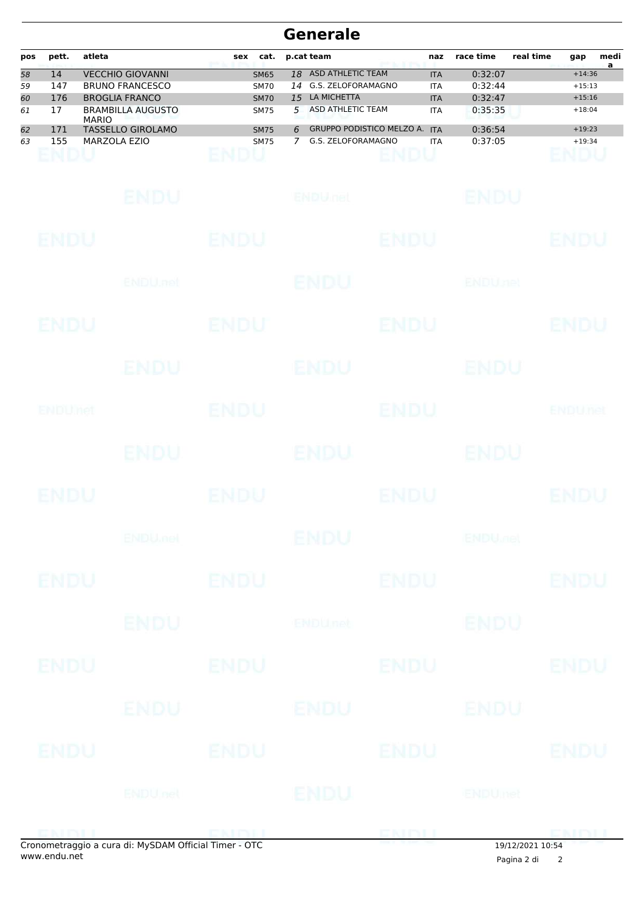### **Generale**

| pos | pett. | atleta                                   | cat.<br>sex |    | p.cat team                       | naz        | race time | real time | gap      | medi |
|-----|-------|------------------------------------------|-------------|----|----------------------------------|------------|-----------|-----------|----------|------|
| 58  | 14    | <b>VECCHIO GIOVANNI</b>                  | <b>SM65</b> | 18 | ASD ATHLETIC TEAM                | <b>ITA</b> | 0:32:07   |           | $+14:36$ | a    |
| 59  | 147   | <b>BRUNO FRANCESCO</b>                   | <b>SM70</b> | 14 | G.S. ZELOFORAMAGNO               | <b>ITA</b> | 0:32:44   |           | $+15:13$ |      |
| 60  | 176   | <b>BROGLIA FRANCO</b>                    | <b>SM70</b> | 15 | LA MICHETTA                      | <b>ITA</b> | 0:32:47   |           | $+15:16$ |      |
| 61  | 17    | <b>BRAMBILLA AUGUSTO</b><br><b>MARIO</b> | <b>SM75</b> | 5  | ASD ATHLETIC TEAM                | <b>ITA</b> | 0:35:35   |           | $+18:04$ |      |
| 62  | 171   | TASSELLO GIROLAMO                        | <b>SM75</b> | 6  | <b>GRUPPO PODISTICO MELZO A.</b> | <b>ITA</b> | 0:36:54   |           | $+19:23$ |      |
| 63  | 155   | MARZOLA EZIO                             | <b>SM75</b> |    | G.S. ZELOFORAMAGNO               | <b>ITA</b> | 0:37:05   |           | $+19:34$ |      |

|             | Openatraggio a cura di: MySDAM Official Timer - OTC |             |                 |             | Cura di: MySDAM Official Timer - OTC 19/12/2021 10:54 |                |
|-------------|-----------------------------------------------------|-------------|-----------------|-------------|-------------------------------------------------------|----------------|
|             | <b>ENDU</b> net                                     |             | ENDU            |             | ENDUmet                                               |                |
| ENDU        | ENDU                                                |             |                 | ENDU        |                                                       | <b>ENDU</b>    |
|             | ENDU                                                |             | <b>ENDU</b>     |             | ENDU                                                  |                |
| <b>ENDU</b> |                                                     | <b>ENDU</b> |                 | <b>ENDU</b> |                                                       | ENDU           |
|             | <b>ENDU</b>                                         |             | <b>ENDUnet</b>  |             | <b>ENDU</b>                                           |                |
| <b>ENDU</b> |                                                     | <b>ENDU</b> |                 | <b>ENDU</b> |                                                       | <b>ENDU</b>    |
|             | <b>ENDU<sub>met</sub></b>                           |             | <b>ENDU</b>     |             | <b>ENDU<sub>JOE</sub></b>                             |                |
| <b>ENDU</b> |                                                     | <b>ENDU</b> |                 | <b>ENDU</b> |                                                       | <b>ENDU</b>    |
|             | <b>ENDU</b>                                         |             | <b>ENDU</b>     |             | <b>ENDU</b>                                           |                |
| ENDUMet     |                                                     | <b>ENDU</b> |                 | <b>ENDU</b> |                                                       | <b>ENDUnet</b> |
|             | ENDU                                                |             | <b>ENDU</b>     |             | ENDU                                                  |                |
| ENDU        |                                                     | ENDU        |                 | <b>ENDU</b> |                                                       | <b>ENDU</b>    |
|             | ENDU.net                                            |             | <b>ENDU</b>     |             | <b>ENDUnet</b>                                        |                |
| <b>ENDU</b> |                                                     | ENDU        |                 | <b>ENDU</b> |                                                       | <b>ENDU</b>    |
|             | <b>ENDU</b>                                         |             | <b>ENDULIEL</b> |             | <b>ENDU</b>                                           |                |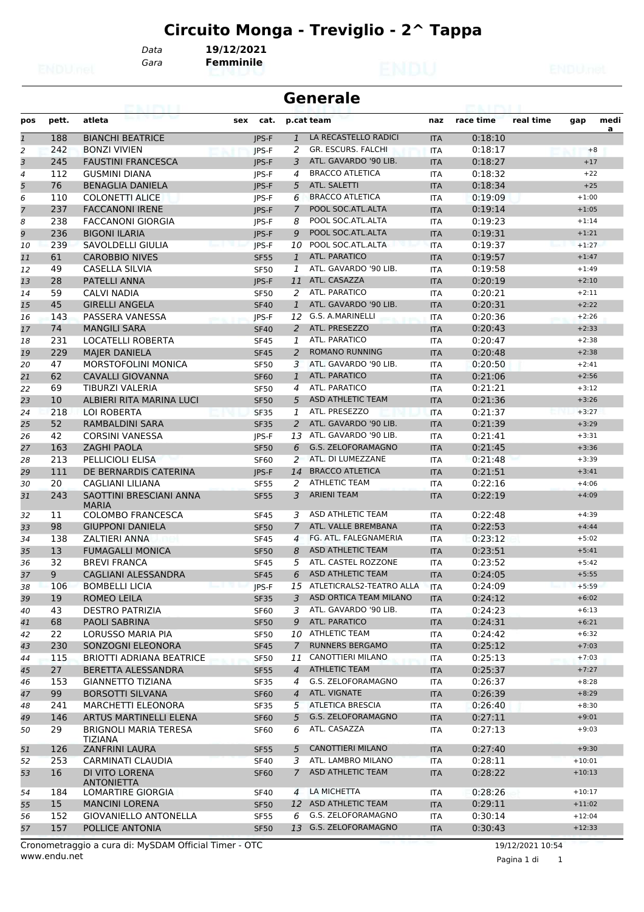*Data* **19/12/2021**

*Gara* **Femminile**

|              |       | GMINI I                                        |              |                | <b>Generale</b>             |            |           |           |          |      |
|--------------|-------|------------------------------------------------|--------------|----------------|-----------------------------|------------|-----------|-----------|----------|------|
| pos          | pett. | atleta                                         | sex<br>cat.  |                | p.cat team                  | naz        | race time | real time | gap      | medi |
| $\mathbf{1}$ | 188   | <b>BIANCHI BEATRICE</b>                        | <b>IPS-F</b> | $\mathbf{1}$   | LA RECASTELLO RADICI        | <b>ITA</b> | 0:18:10   |           |          | a    |
| 2            | 242   | <b>BONZI VIVIEN</b>                            | <b>IPS-F</b> | 2              | GR. ESCURS. FALCHI          | <b>ITA</b> | 0:18:17   |           | $+8$     |      |
| 3            | 245   | <b>FAUSTINI FRANCESCA</b>                      | <b>IPS-F</b> | 3              | ATL. GAVARDO '90 LIB.       | <b>ITA</b> | 0:18:27   |           | $+17$    |      |
| 4            | 112   | <b>GUSMINI DIANA</b>                           | IPS-F        | 4              | <b>BRACCO ATLETICA</b>      | <b>ITA</b> | 0:18:32   |           | $+22$    |      |
| 5            | 76    | <b>BENAGLIA DANIELA</b>                        | <b>IPS-F</b> | 5              | ATL. SALETTI                | <b>ITA</b> | 0:18:34   |           | $+25$    |      |
| 6            | 110   | <b>COLONETTI ALICE</b>                         | JPS-F        | 6              | <b>BRACCO ATLETICA</b>      | <b>ITA</b> | 0:19:09   |           | $+1:00$  |      |
| 7            | 237   | <b>FACCANONI IRENE</b>                         | <b>IPS-F</b> | $\overline{7}$ | POOL SOC.ATL.ALTA           | <b>ITA</b> | 0:19:14   |           | $+1:05$  |      |
| 8            | 238   | <b>FACCANONI GIORGIA</b>                       | IPS-F        | 8              | POOL SOC.ATL.ALTA           | <b>ITA</b> | 0:19:23   |           | $+1:14$  |      |
| 9            | 236   | <b>BIGONI ILARIA</b>                           | <b>IPS-F</b> | 9              | POOL SOC.ATL.ALTA           | <b>ITA</b> | 0:19:31   |           | $+1:21$  |      |
| 10           | 239   | SAVOLDELLI GIULIA                              | <b>IPS-F</b> | 10             | POOL SOC.ATL.ALTA           | <b>ITA</b> | 0:19:37   |           | $+1:27$  |      |
| 11           | 61    | <b>CAROBBIO NIVES</b>                          | <b>SF55</b>  | $\mathbf{1}$   | ATL. PARATICO               | <b>ITA</b> | 0:19:57   |           | $+1:47$  |      |
| 12           | 49    | <b>CASELLA SILVIA</b>                          | <b>SF50</b>  | 1              | ATL. GAVARDO '90 LIB.       | <b>ITA</b> | 0:19:58   |           | $+1:49$  |      |
| 13           | 28    | PATELLI ANNA                                   | <b>IPS-F</b> | 11             | ATL. CASAZZA                | <b>ITA</b> | 0:20:19   |           | $+2:10$  |      |
| 14           | 59    | CALVI NADIA                                    | <b>SF50</b>  | 2              | ATL. PARATICO               | <b>ITA</b> | 0:20:21   |           | $+2:11$  |      |
| 15           | 45    | <b>GIRELLI ANGELA</b>                          | <b>SF40</b>  | $\mathbf{1}$   | ATL. GAVARDO '90 LIB.       | <b>ITA</b> | 0:20:31   |           | $+2:22$  |      |
| 16           | 143   | PASSERA VANESSA                                | JPS-F        | 12             | G.S. A.MARINELLI            | <b>ITA</b> | 0:20:36   |           | $+2:26$  |      |
| 17           | 74    | <b>MANGILI SARA</b>                            | <b>SF40</b>  | 2              | ATL. PRESEZZO               | <b>ITA</b> | 0:20:43   |           | $+2:33$  |      |
| 18           | 231   | <b>LOCATELLI ROBERTA</b>                       | <b>SF45</b>  | 1              | ATL. PARATICO               | <b>ITA</b> | 0:20:47   |           | $+2:38$  |      |
| 19           | 229   | <b>MAJER DANIELA</b>                           | <b>SF45</b>  | 2              | <b>ROMANO RUNNING</b>       | <b>ITA</b> | 0:20:48   |           | $+2:38$  |      |
| 20           | 47    | MORSTOFOLINI MONICA                            | <b>SF50</b>  | 3              | ATL. GAVARDO '90 LIB.       | <b>ITA</b> | 0:20:50   |           | $+2:41$  |      |
| 21           | 62    | <b>CAVALLI GIOVANNA</b>                        | <b>SF60</b>  | $\mathbf{1}$   | ATL. PARATICO               | <b>ITA</b> | 0:21:06   |           | $+2:56$  |      |
| 22           | 69    | <b>TIBURZI VALERIA</b>                         | <b>SF50</b>  | 4              | ATL. PARATICO               | <b>ITA</b> | 0:21:21   |           | $+3:12$  |      |
| 23           | 10    | ALBIERI RITA MARINA LUCI                       | <b>SF50</b>  | 5              | <b>ASD ATHLETIC TEAM</b>    | <b>ITA</b> | 0:21:36   |           | $+3:26$  |      |
| 24           | 218   | <b>LOI ROBERTA</b>                             | <b>SF35</b>  | 1              | ATL. PRESEZZO               | <b>ITA</b> | 0:21:37   |           | $+3:27$  |      |
| 25           | 52    | RAMBALDINI SARA                                | <b>SF35</b>  | 2              | ATL. GAVARDO '90 LIB.       | <b>ITA</b> | 0:21:39   |           | $+3:29$  |      |
| 26           | 42    | <b>CORSINI VANESSA</b>                         | <b>IPS-F</b> | 13             | ATL. GAVARDO '90 LIB.       | <b>ITA</b> | 0:21:41   |           | $+3:31$  |      |
| 27           | 163   | <b>ZAGHI PAOLA</b>                             | <b>SF50</b>  | 6              | G.S. ZELOFORAMAGNO          | <b>ITA</b> | 0:21:45   |           | $+3:36$  |      |
| 28           | 213   | <b>PELLICIOLI ELISA</b>                        | <b>SF60</b>  | 2              | ATL. DI LUMEZZANE           | <b>ITA</b> | 0:21:48   |           | $+3:39$  |      |
| 29           | 111   | DE BERNARDIS CATERINA                          | <b>IPS-F</b> | 14             | <b>BRACCO ATLETICA</b>      | <b>ITA</b> | 0:21:51   |           | $+3:41$  |      |
| 30           | 20    | CAGLIANI LILIANA                               | <b>SF55</b>  | 2              | <b>ATHLETIC TEAM</b>        | <b>ITA</b> | 0:22:16   |           | $+4:06$  |      |
| 31           | 243   | SAOTTINI BRESCIANI ANNA<br><b>MARIA</b>        | <b>SF55</b>  | 3              | <b>ARIENI TEAM</b>          | <b>ITA</b> | 0:22:19   |           | $+4:09$  |      |
| 32           | 11    | <b>COLOMBO FRANCESCA</b>                       | <b>SF45</b>  | 3              | ASD ATHLETIC TEAM           | <b>ITA</b> | 0:22:48   |           | $+4:39$  |      |
| 33           | 98    | <b>GIUPPONI DANIELA</b>                        | <b>SF50</b>  | $\overline{7}$ | ATL. VALLE BREMBANA         | <b>ITA</b> | 0:22:53   |           | $+4:44$  |      |
| 34           | 138   | <b>ZALTIERI ANNA</b>                           | <b>SF45</b>  | 4              | FG. ATL. FALEGNAMERIA       | <b>ITA</b> | 0:23:12   |           | $+5:02$  |      |
| 35           | 13    | <b>FUMAGALLI MONICA</b>                        | <b>SF50</b>  | 8              | <b>ASD ATHLETIC TEAM</b>    | <b>ITA</b> | 0:23:51   |           | $+5:41$  |      |
| 36           | 32    | <b>BREVI FRANCA</b>                            | <b>SF45</b>  | 5              | ATL. CASTEL ROZZONE         | <b>ITA</b> | 0:23:52   |           | $+5:42$  |      |
| 37           | 9     | <b>CAGLIANI ALESSANDRA</b>                     | <b>SF45</b>  | 6              | <b>ASD ATHLETIC TEAM</b>    | <b>ITA</b> | 0:24:05   |           | $+5:55$  |      |
| 38           | 106   | <b>BOMBELLI LICIA</b>                          | JPS-F        |                | 15 ATLETICRALS2-TEATRO ALLA | <b>ITA</b> | 0:24:09   |           | $+5:59$  |      |
| 39           | 19    | <b>ROMEO LEILA</b>                             | <b>SF35</b>  | 3              | ASD ORTICA TEAM MILANO      | <b>ITA</b> | 0:24:12   |           | $+6:02$  |      |
| 40           | 43    | <b>DESTRO PATRIZIA</b>                         | SF60         | 3              | ATL. GAVARDO '90 LIB.       | ITA        | 0:24:23   |           | $+6:13$  |      |
| 41           | 68    | PAOLI SABRINA                                  | <b>SF50</b>  | 9              | ATL. PARATICO               | <b>ITA</b> | 0:24:31   |           | $+6:21$  |      |
| 42           | 22    | LORUSSO MARIA PIA                              | <b>SF50</b>  | 10             | <b>ATHLETIC TEAM</b>        | ITA        | 0:24:42   |           | $+6:32$  |      |
| 43           | 230   | SONZOGNI ELEONORA                              | <b>SF45</b>  | $\overline{7}$ | <b>RUNNERS BERGAMO</b>      | <b>ITA</b> | 0:25:12   |           | $+7:03$  |      |
| 44           | 115   | <b>BRIOTTI ADRIANA BEATRICE</b>                | <b>SF50</b>  | 11             | CANOTTIERI MILANO           | ITA        | 0:25:13   |           | $+7:03$  |      |
| 45           | 27    | BERETTA ALESSANDRA                             | <b>SF55</b>  | $\overline{4}$ | <b>ATHLETIC TEAM</b>        | <b>ITA</b> | 0:25:37   |           | $+7:27$  |      |
| 46           | 153   | <b>GIANNETTO TIZIANA</b>                       | SF35         | 4              | G.S. ZELOFORAMAGNO          | ITA        | 0:26:37   |           | $+8:28$  |      |
| 47           | 99    | <b>BORSOTTI SILVANA</b>                        | <b>SF60</b>  | $\overline{4}$ | ATL. VIGNATE                | <b>ITA</b> | 0:26:39   |           | $+8:29$  |      |
| 48           | 241   | <b>MARCHETTI ELEONORA</b>                      | <b>SF35</b>  | 5              | <b>ATLETICA BRESCIA</b>     | ITA        | 0:26:40   |           | $+8:30$  |      |
| 49           | 146   | ARTUS MARTINELLI ELENA                         | <b>SF60</b>  | 5              | <b>G.S. ZELOFORAMAGNO</b>   | <b>ITA</b> | 0:27:11   |           | $+9:01$  |      |
| 50           | 29    | <b>BRIGNOLI MARIA TERESA</b><br><b>TIZIANA</b> | <b>SF60</b>  | 6              | ATL. CASAZZA                | ITA        | 0:27:13   |           | $+9:03$  |      |
| 51           | 126   | <b>ZANFRINI LAURA</b>                          | <b>SF55</b>  | 5              | <b>CANOTTIERI MILANO</b>    | <b>ITA</b> | 0:27:40   |           | $+9:30$  |      |
| 52           | 253   | CARMINATI CLAUDIA                              | <b>SF40</b>  | 3              | ATL. LAMBRO MILANO          | ITA        | 0:28:11   |           | $+10:01$ |      |
| 53           | 16    | DI VITO LORENA<br><b>ANTONIETTA</b>            | <b>SF60</b>  | $\mathcal{I}$  | ASD ATHLETIC TEAM           | <b>ITA</b> | 0:28:22   |           | $+10:13$ |      |
| 54           | 184   | LOMARTIRE GIORGIA                              | <b>SF40</b>  | $\overline{4}$ | LA MICHETTA                 | ITA        | 0:28:26   |           | $+10:17$ |      |
| 55           | 15    | <b>MANCINI LORENA</b>                          | <b>SF50</b>  |                | 12 ASD ATHLETIC TEAM        | <b>ITA</b> | 0:29:11   |           | $+11:02$ |      |
| 56           | 152   | GIOVANIELLO ANTONELLA                          | <b>SF55</b>  | 6              | G.S. ZELOFORAMAGNO          | ITA        | 0:30:14   |           | $+12:04$ |      |
| 57           | 157   | POLLICE ANTONIA                                | <b>SF50</b>  | 13             | G.S. ZELOFORAMAGNO          | <b>ITA</b> | 0:30:43   |           | $+12:33$ |      |

19/12/2021 10:54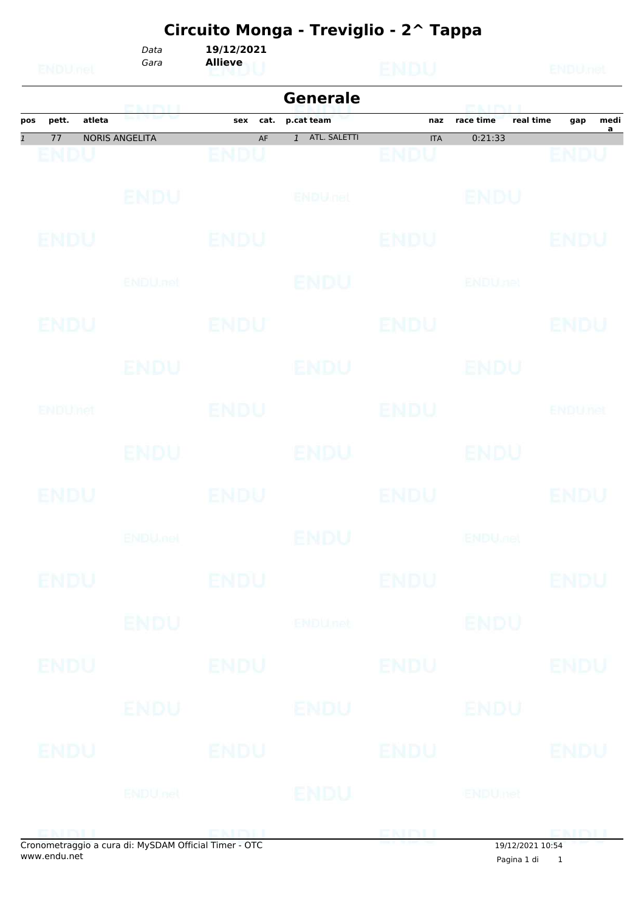*Gara* **Allieve** *Data* **19/12/2021**

|                                                       |                       |             | <b>Generale</b>           |                           | <b>ERACT PAUL II</b>   |                               |
|-------------------------------------------------------|-----------------------|-------------|---------------------------|---------------------------|------------------------|-------------------------------|
| atleta<br>pett.<br>pos                                | <u>ENDU</u>           | sex<br>cat. | p.cat team                | naz                       | real time<br>race time | medi<br>gap<br>$\overline{a}$ |
| 77<br>$\mathbf{1}$                                    | <b>NORIS ANGELITA</b> | AF<br>ENDU  | 1 ATL. SALETTI            | <b>ITA</b><br><b>ENDU</b> | 0:21:33                | ENDU                          |
| ENDU                                                  |                       |             |                           |                           |                        |                               |
|                                                       | ENDU                  |             | ENDULTEL                  |                           | <b>BNDU</b>            |                               |
| <b>ENDU</b>                                           |                       | <b>ENDU</b> |                           | <b>ENDU</b>               |                        | ENDU                          |
|                                                       | ENDU, nel             |             | <b>ENDU</b>               |                           | <b>ENDUnet</b>         |                               |
| ENDU                                                  |                       | ENDU        |                           | ENDU                      |                        | ENDU                          |
|                                                       | ENDU                  |             | <b>ENDU</b>               |                           | ENDU                   |                               |
| ENDUMet                                               |                       | <b>ENDU</b> |                           | <b>ENDU</b>               |                        | <b>ENDUnet</b>                |
|                                                       | <b>ENDU</b>           |             | <b>ENDU</b>               |                           | ENDU                   |                               |
| ENDU                                                  |                       | ENDU        |                           | <b>ENDU</b>               |                        | ENDU                          |
|                                                       | <b>ENDUmet</b>        |             | ENDU                      |                           | <b>ENDULIBI</b>        |                               |
| ENDU                                                  |                       | <b>ENDU</b> |                           | <b>ENDU</b>               |                        | <b>ENDU</b>                   |
|                                                       | <b>ENDU</b>           |             | <b>ENDU<sub>net</sub></b> |                           | <b>ENDU</b>            |                               |
| <b>ENDU</b>                                           |                       | <b>ENDU</b> |                           | <b>ENDU</b>               |                        | <b>ENDU</b>                   |
|                                                       | ENDU                  |             | ENDU                      |                           | ENDU                   |                               |
| <b>ENDU</b>                                           |                       | ENDU        |                           | <b>ENDU</b>               |                        | <b>ENDU</b>                   |
|                                                       | <b>ENDUnet</b>        |             | <b>ENDU</b>               |                           | <b>ENDUmet</b>         |                               |
| Cropometraggio a cura di: MySDAM Official Timer - OTC |                       |             |                           |                           |                        | ENDU                          |